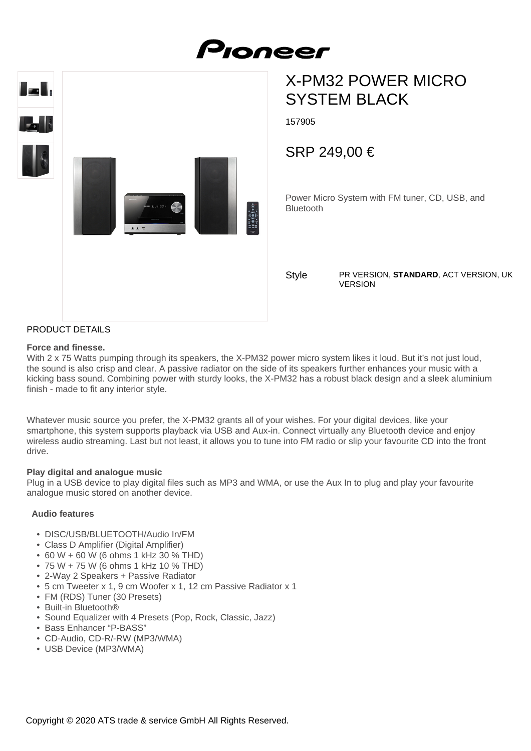

# X-PM32 POWER MICRO SYSTEM BLACK

157905

SRP 249,00 €

Power Micro System with FM tuner, CD, USB, and Bluetooth

**Style** 

PR VERSION, **STANDARD**, ACT VERSION, UK VERSION

## PRODUCT DETAILS

#### **Force and finesse.**

With 2 x 75 Watts pumping through its speakers, the X-PM32 power micro system likes it loud. But it's not just loud, the sound is also crisp and clear. A passive radiator on the side of its speakers further enhances your music with a kicking bass sound. Combining power with sturdy looks, the X-PM32 has a robust black design and a sleek aluminium finish - made to fit any interior style.

Whatever music source you prefer, the X-PM32 grants all of your wishes. For your digital devices, like your smartphone, this system supports playback via USB and Aux-in. Connect virtually any Bluetooth device and enjoy wireless audio streaming. Last but not least, it allows you to tune into FM radio or slip your favourite CD into the front drive.

#### **Play digital and analogue music**

Plug in a USB device to play digital files such as MP3 and WMA, or use the Aux In to plug and play your favourite analogue music stored on another device.

#### **Audio features**

- DISC/USB/BLUETOOTH/Audio In/FM
- Class D Amplifier (Digital Amplifier)
- 60 W + 60 W (6 ohms 1 kHz 30 % THD)
- 75 W + 75 W (6 ohms 1 kHz 10 % THD)
- 2-Way 2 Speakers + Passive Radiator
- 5 cm Tweeter x 1, 9 cm Woofer x 1, 12 cm Passive Radiator x 1
- FM (RDS) Tuner (30 Presets)
- Built-in Bluetooth®
- Sound Equalizer with 4 Presets (Pop, Rock, Classic, Jazz)
- Bass Enhancer "P-BASS"
- CD-Audio, CD-R/-RW (MP3/WMA)
- USB Device (MP3/WMA)